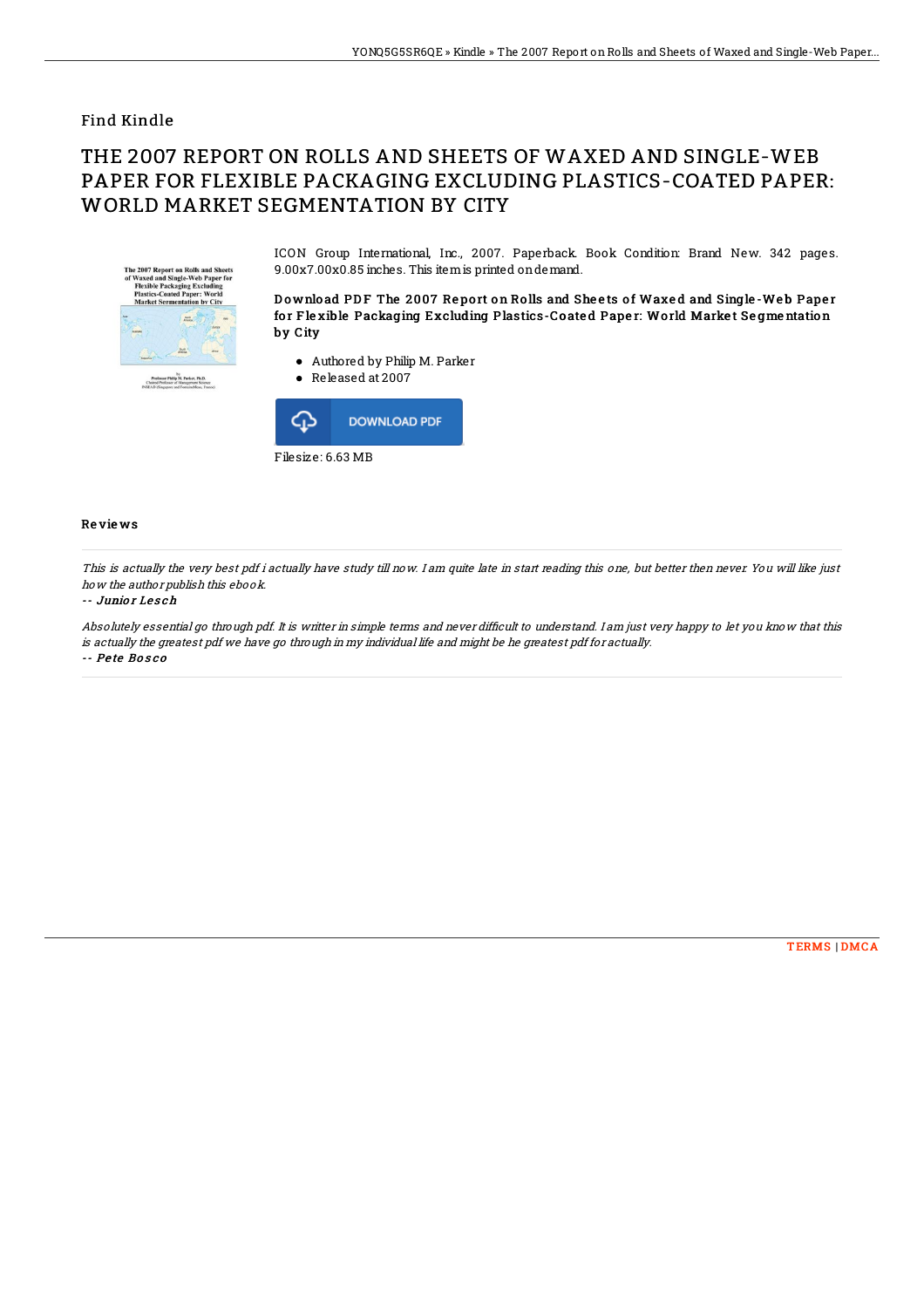## Find Kindle

# THE 2007 REPORT ON ROLLS AND SHEETS OF WAXED AND SINGLE-WEB PAPER FOR FLEXIBLE PACKAGING EXCLUDING PLASTICS-COATED PAPER: WORLD MARKET SEGMENTATION BY CITY



ICON Group International, Inc., 2007. Paperback. Book Condition: Brand New. 342 pages. 9.00x7.00x0.85 inches. This itemis printed ondemand.

Download PDF The 2007 Report on Rolls and Sheets of Waxed and Single-Web Paper for Flexible Packaging Excluding Plastics-Coated Paper: World Market Segmentation by City

- Authored by Philip M. Parker
- Released at 2007



### Re vie ws

This is actually the very best pdf i actually have study till now. I am quite late in start reading this one, but better then never. You will like just how the author publish this ebook.

#### -- Junio <sup>r</sup> Le s ch

Absolutely essential go through pdf. It is writter in simple terms and never difficult to understand. I am just very happy to let you know that this is actually the greatest pdf we have go through in my individual life and might be he greatest pdf for actually. -- Pe te Bo s c o